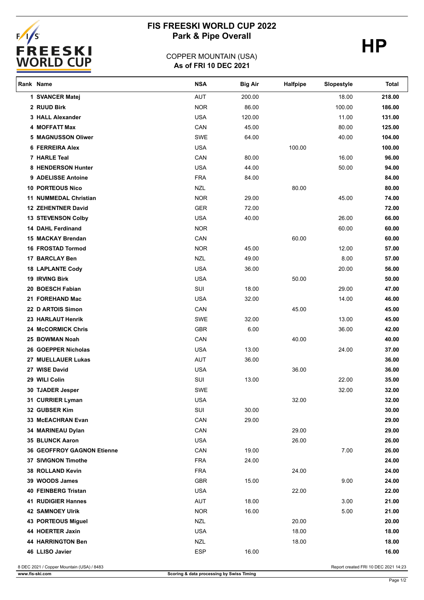

# **FIS FREESKI WORLD CUP 2022** Park & Pipe Overall **HP**

## **As of FRI 10 DEC 2021** COPPER MOUNTAIN (USA)

| Rank Name                         | <b>NSA</b>               | <b>Big Air</b> | Halfpipe | Slopestyle | Total          |
|-----------------------------------|--------------------------|----------------|----------|------------|----------------|
| 1 SVANCER Matej                   | AUT                      | 200.00         |          | 18.00      | 218.00         |
| 2 RUUD Birk                       | <b>NOR</b>               | 86.00          |          | 100.00     | 186.00         |
| 3 HALL Alexander                  | <b>USA</b>               | 120.00         |          | 11.00      | 131.00         |
| 4 MOFFATT Max                     | CAN                      | 45.00          |          | 80.00      | 125.00         |
| 5 MAGNUSSON Oliwer                | SWE                      | 64.00          |          | 40.00      | 104.00         |
| <b>6 FERREIRA Alex</b>            | <b>USA</b>               |                | 100.00   |            | 100.00         |
| 7 HARLE Teal                      | CAN                      | 80.00          |          | 16.00      | 96.00          |
| 8 HENDERSON Hunter                | <b>USA</b>               | 44.00          |          | 50.00      | 94.00          |
| 9 ADELISSE Antoine                | <b>FRA</b>               | 84.00          |          |            | 84.00          |
| <b>10 PORTEOUS Nico</b>           | <b>NZL</b>               |                | 80.00    |            | 80.00          |
| <b>11 NUMMEDAL Christian</b>      | <b>NOR</b>               | 29.00          |          | 45.00      | 74.00          |
| <b>12 ZEHENTNER David</b>         | <b>GER</b>               | 72.00          |          |            | 72.00          |
| 13 STEVENSON Colby                | <b>USA</b>               | 40.00          |          | 26.00      | 66.00          |
| <b>14 DAHL Ferdinand</b>          | <b>NOR</b>               |                |          | 60.00      | 60.00          |
| 15 MACKAY Brendan                 | CAN                      |                | 60.00    |            | 60.00          |
| <b>16 FROSTAD Tormod</b>          | <b>NOR</b>               | 45.00          |          | 12.00      | 57.00          |
| 17 BARCLAY Ben                    | <b>NZL</b>               | 49.00          |          | 8.00       | 57.00          |
| <b>18 LAPLANTE Cody</b>           | <b>USA</b>               | 36.00          |          | 20.00      | 56.00          |
| <b>19 IRVING Birk</b>             | <b>USA</b>               |                | 50.00    |            | 50.00          |
| 20 BOESCH Fabian                  | SUI                      | 18.00          |          | 29.00      | 47.00          |
| 21 FOREHAND Mac                   | <b>USA</b>               | 32.00          |          | 14.00      | 46.00          |
| 22 D ARTOIS Simon                 | CAN                      |                | 45.00    |            | 45.00          |
| 23 HARLAUT Henrik                 | SWE                      | 32.00          |          | 13.00      | 45.00          |
| <b>24 McCORMICK Chris</b>         | GBR                      | 6.00           |          | 36.00      | 42.00          |
| 25 BOWMAN Noah                    | CAN                      |                | 40.00    |            | 40.00          |
| 26 GOEPPER Nicholas               | <b>USA</b>               | 13.00          |          | 24.00      | 37.00          |
| 27 MUELLAUER Lukas                | AUT                      | 36.00          |          |            | 36.00          |
| 27 WISE David                     | <b>USA</b>               |                | 36.00    |            | 36.00          |
| 29 WILI Colin                     | SUI                      | 13.00          |          | 22.00      | 35.00          |
| 30 TJADER Jesper                  | <b>SWE</b><br><b>USA</b> |                | 32.00    | 32.00      | 32.00<br>32.00 |
| 31 CURRIER Lyman<br>32 GUBSER Kim | SUI                      | 30.00          |          |            | 30.00          |
| 33 McEACHRAN Evan                 | CAN                      | 29.00          |          |            | 29.00          |
| 34 MARINEAU Dylan                 | CAN                      |                | 29.00    |            | 29.00          |
| 35 BLUNCK Aaron                   | <b>USA</b>               |                | 26.00    |            | 26.00          |
| <b>36 GEOFFROY GAGNON Etienne</b> | CAN                      | 19.00          |          | 7.00       | 26.00          |
| 37 SIVIGNON Timothe               | <b>FRA</b>               | 24.00          |          |            | 24.00          |
| 38 ROLLAND Kevin                  | <b>FRA</b>               |                | 24.00    |            | 24.00          |
| 39 WOODS James                    | <b>GBR</b>               | 15.00          |          | 9.00       | 24.00          |
| <b>40 FEINBERG Tristan</b>        | <b>USA</b>               |                | 22.00    |            | 22.00          |
| <b>41 RUDIGIER Hannes</b>         | AUT                      | 18.00          |          | 3.00       | 21.00          |
| <b>42 SAMNOEY Ulrik</b>           | <b>NOR</b>               | 16.00          |          | 5.00       | 21.00          |
| 43 PORTEOUS Miguel                | <b>NZL</b>               |                | 20.00    |            | 20.00          |
| 44 HOERTER Jaxin                  | <b>USA</b>               |                | 18.00    |            | 18.00          |
| <b>44 HARRINGTON Ben</b>          | <b>NZL</b>               |                | 18.00    |            | 18.00          |
| 46 LLISO Javier                   | <b>ESP</b>               | 16.00          |          |            | 16.00          |
|                                   |                          |                |          |            |                |

8 DEC 2021 / Copper Mountain (USA) / 8483 Report created FRI 10 DEC 2021 14:23